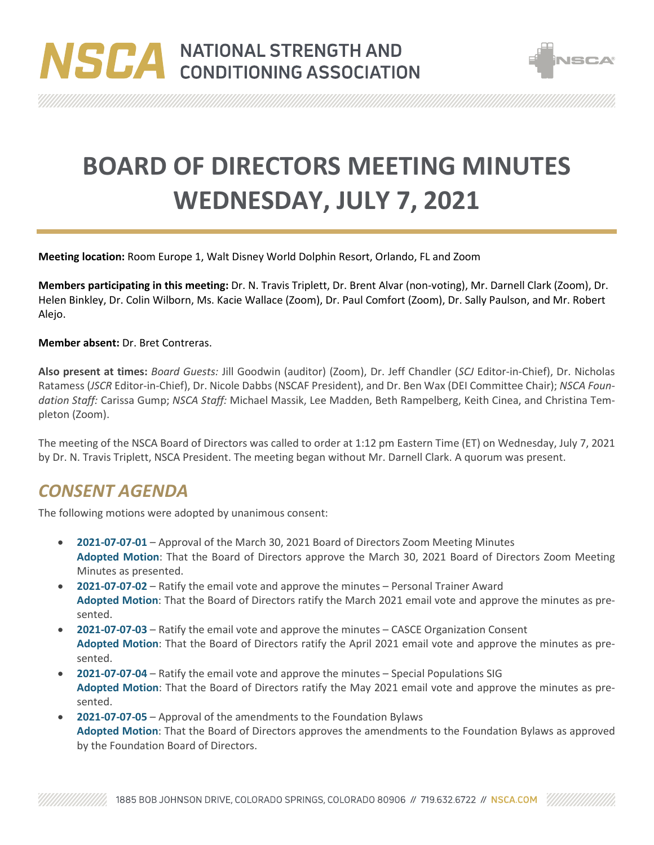



**BOARD OF DIRECTORS MEETING MINUTES WEDNESDAY, JULY 7, 2021**

**Meeting location:** Room Europe 1, Walt Disney World Dolphin Resort, Orlando, FL and Zoom

**Members participating in this meeting:** Dr. N. Travis Triplett, Dr. Brent Alvar (non-voting), Mr. Darnell Clark (Zoom), Dr. Helen Binkley, Dr. Colin Wilborn, Ms. Kacie Wallace (Zoom), Dr. Paul Comfort (Zoom), Dr. Sally Paulson, and Mr. Robert Alejo.

**Member absent:** Dr. Bret Contreras.

**Also present at times:** *Board Guests:* Jill Goodwin (auditor) (Zoom), Dr. Jeff Chandler (*SCJ* Editor-in-Chief), Dr. Nicholas Ratamess (*JSCR* Editor-in-Chief), Dr. Nicole Dabbs (NSCAF President), and Dr. Ben Wax (DEI Committee Chair); *NSCA Foundation Staff:* Carissa Gump; *NSCA Staff:* Michael Massik, Lee Madden, Beth Rampelberg, Keith Cinea, and Christina Templeton (Zoom).

The meeting of the NSCA Board of Directors was called to order at 1:12 pm Eastern Time (ET) on Wednesday, July 7, 2021 by Dr. N. Travis Triplett, NSCA President. The meeting began without Mr. Darnell Clark. A quorum was present.

## *CONSENT AGENDA*

The following motions were adopted by unanimous consent:

- **2021-07-07-01** Approval of the March 30, 2021 Board of Directors Zoom Meeting Minutes **Adopted Motion**: That the Board of Directors approve the March 30, 2021 Board of Directors Zoom Meeting Minutes as presented.
- **2021-07-07-02** Ratify the email vote and approve the minutes Personal Trainer Award **Adopted Motion**: That the Board of Directors ratify the March 2021 email vote and approve the minutes as presented.
- **2021-07-07-03** Ratify the email vote and approve the minutes CASCE Organization Consent **Adopted Motion**: That the Board of Directors ratify the April 2021 email vote and approve the minutes as presented.
- **2021-07-07-04** Ratify the email vote and approve the minutes Special Populations SIG **Adopted Motion**: That the Board of Directors ratify the May 2021 email vote and approve the minutes as presented.
- **2021-07-07-05** Approval of the amendments to the Foundation Bylaws **Adopted Motion**: That the Board of Directors approves the amendments to the Foundation Bylaws as approved by the Foundation Board of Directors.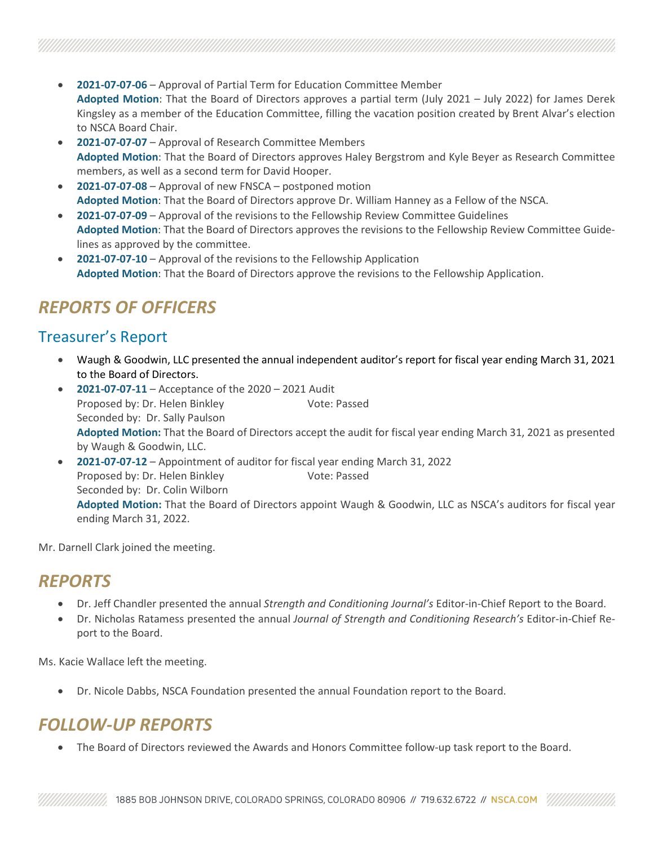- **2021-07-07-06** Approval of Partial Term for Education Committee Member **Adopted Motion**: That the Board of Directors approves a partial term (July 2021 – July 2022) for James Derek Kingsley as a member of the Education Committee, filling the vacation position created by Brent Alvar's election to NSCA Board Chair.
- **2021-07-07-07** Approval of Research Committee Members **Adopted Motion**: That the Board of Directors approves Haley Bergstrom and Kyle Beyer as Research Committee members, as well as a second term for David Hooper.
- **2021-07-07-08** Approval of new FNSCA postponed motion **Adopted Motion**: That the Board of Directors approve Dr. William Hanney as a Fellow of the NSCA.
- **2021-07-07-09** Approval of the revisions to the Fellowship Review Committee Guidelines **Adopted Motion**: That the Board of Directors approves the revisions to the Fellowship Review Committee Guidelines as approved by the committee.
- **2021-07-07-10** Approval of the revisions to the Fellowship Application **Adopted Motion**: That the Board of Directors approve the revisions to the Fellowship Application.

# *REPORTS OF OFFICERS*

### Treasurer's Report

- Waugh & Goodwin, LLC presented the annual independent auditor's report for fiscal year ending March 31, 2021 to the Board of Directors.
- **2021-07-07-11** Acceptance of the 2020 2021 Audit Proposed by: Dr. Helen Binkley Vote: Passed Seconded by: Dr. Sally Paulson **Adopted Motion:** That the Board of Directors accept the audit for fiscal year ending March 31, 2021 as presented by Waugh & Goodwin, LLC.
- **2021-07-07-12** Appointment of auditor for fiscal year ending March 31, 2022 Proposed by: Dr. Helen Binkley Vote: Passed Seconded by: Dr. Colin Wilborn **Adopted Motion:** That the Board of Directors appoint Waugh & Goodwin, LLC as NSCA's auditors for fiscal year ending March 31, 2022.

Mr. Darnell Clark joined the meeting.

## *REPORTS*

- Dr. Jeff Chandler presented the annual *Strength and Conditioning Journal's* Editor-in-Chief Report to the Board.
- Dr. Nicholas Ratamess presented the annual *Journal of Strength and Conditioning Research's* Editor-in-Chief Report to the Board.

Ms. Kacie Wallace left the meeting.

• Dr. Nicole Dabbs, NSCA Foundation presented the annual Foundation report to the Board.

# *FOLLOW-UP REPORTS*

• The Board of Directors reviewed the Awards and Honors Committee follow-up task report to the Board.